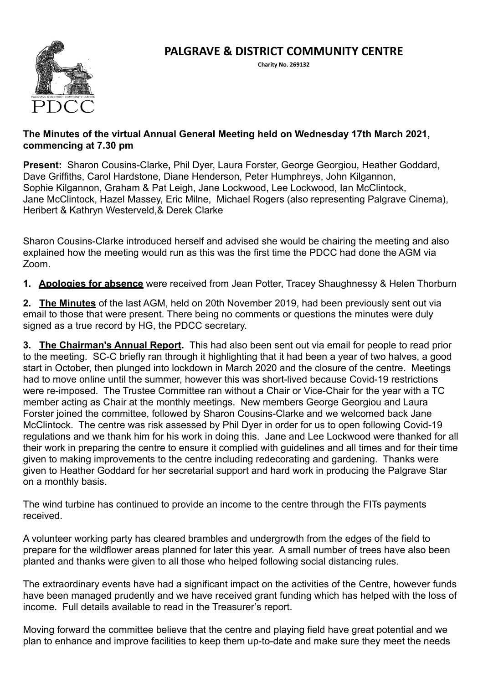# **PALGRAVE & DISTRICT COMMUNITY CENTRE**



**Charity No. 269132** 

#### **The Minutes of the virtual Annual General Meeting held on Wednesday 17th March 2021, commencing at 7.30 pm**

**Present:** Sharon Cousins-Clarke**,** Phil Dyer, Laura Forster, George Georgiou, Heather Goddard, Dave Griffiths, Carol Hardstone, Diane Henderson, Peter Humphreys, John Kilgannon, Sophie Kilgannon, Graham & Pat Leigh, Jane Lockwood, Lee Lockwood, Ian McClintock, Jane McClintock, Hazel Massey, Eric Milne, Michael Rogers (also representing Palgrave Cinema), Heribert & Kathryn Westerveld,& Derek Clarke

Sharon Cousins-Clarke introduced herself and advised she would be chairing the meeting and also explained how the meeting would run as this was the first time the PDCC had done the AGM via Zoom.

**1. Apologies for absence** were received from Jean Potter, Tracey Shaughnessy & Helen Thorburn

**2. The Minutes** of the last AGM, held on 20th November 2019, had been previously sent out via email to those that were present. There being no comments or questions the minutes were duly signed as a true record by HG, the PDCC secretary.

**3. The Chairman's Annual Report.** This had also been sent out via email for people to read prior to the meeting. SC-C briefly ran through it highlighting that it had been a year of two halves, a good start in October, then plunged into lockdown in March 2020 and the closure of the centre. Meetings had to move online until the summer, however this was short-lived because Covid-19 restrictions were re-imposed. The Trustee Committee ran without a Chair or Vice-Chair for the year with a TC member acting as Chair at the monthly meetings. New members George Georgiou and Laura Forster joined the committee, followed by Sharon Cousins-Clarke and we welcomed back Jane McClintock. The centre was risk assessed by Phil Dyer in order for us to open following Covid-19 regulations and we thank him for his work in doing this. Jane and Lee Lockwood were thanked for all their work in preparing the centre to ensure it complied with guidelines and all times and for their time given to making improvements to the centre including redecorating and gardening. Thanks were given to Heather Goddard for her secretarial support and hard work in producing the Palgrave Star on a monthly basis.

The wind turbine has continued to provide an income to the centre through the FITs payments received.

A volunteer working party has cleared brambles and undergrowth from the edges of the field to prepare for the wildflower areas planned for later this year. A small number of trees have also been planted and thanks were given to all those who helped following social distancing rules.

The extraordinary events have had a significant impact on the activities of the Centre, however funds have been managed prudently and we have received grant funding which has helped with the loss of income. Full details available to read in the Treasurer's report.

Moving forward the committee believe that the centre and playing field have great potential and we plan to enhance and improve facilities to keep them up-to-date and make sure they meet the needs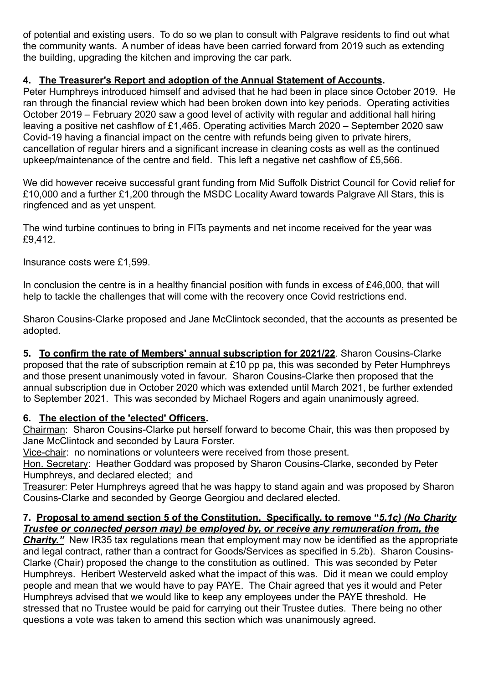of potential and existing users. To do so we plan to consult with Palgrave residents to find out what the community wants. A number of ideas have been carried forward from 2019 such as extending the building, upgrading the kitchen and improving the car park.

### **4. The Treasurer's Report and adoption of the Annual Statement of Accounts.**

Peter Humphreys introduced himself and advised that he had been in place since October 2019. He ran through the financial review which had been broken down into key periods. Operating activities October 2019 – February 2020 saw a good level of activity with regular and additional hall hiring leaving a positive net cashflow of £1,465. Operating activities March 2020 – September 2020 saw Covid-19 having a financial impact on the centre with refunds being given to private hirers, cancellation of regular hirers and a significant increase in cleaning costs as well as the continued upkeep/maintenance of the centre and field. This left a negative net cashflow of £5,566.

We did however receive successful grant funding from Mid Suffolk District Council for Covid relief for £10,000 and a further £1,200 through the MSDC Locality Award towards Palgrave All Stars, this is ringfenced and as yet unspent.

The wind turbine continues to bring in FITs payments and net income received for the year was £9,412.

Insurance costs were £1,599.

In conclusion the centre is in a healthy financial position with funds in excess of £46,000, that will help to tackle the challenges that will come with the recovery once Covid restrictions end.

Sharon Cousins-Clarke proposed and Jane McClintock seconded, that the accounts as presented be adopted.

**5. To confirm the rate of Members' annual subscription for 2021/22**. Sharon Cousins-Clarke proposed that the rate of subscription remain at £10 pp pa, this was seconded by Peter Humphreys and those present unanimously voted in favour. Sharon Cousins-Clarke then proposed that the annual subscription due in October 2020 which was extended until March 2021, be further extended to September 2021. This was seconded by Michael Rogers and again unanimously agreed.

#### **6. The election of the 'elected' Officers.**

Chairman: Sharon Cousins-Clarke put herself forward to become Chair, this was then proposed by Jane McClintock and seconded by Laura Forster.

Vice-chair: no nominations or volunteers were received from those present.

Hon. Secretary: Heather Goddard was proposed by Sharon Cousins-Clarke, seconded by Peter Humphreys, and declared elected; and

Treasurer: Peter Humphreys agreed that he was happy to stand again and was proposed by Sharon Cousins-Clarke and seconded by George Georgiou and declared elected.

#### **7. Proposal to amend section 5 of the Constitution. Specifically, to remove "***5.1c) (No Charity Trustee or connected person may) be employed by, or receive any remuneration from, the*

**Charity.**" New IR35 tax regulations mean that employment may now be identified as the appropriate and legal contract, rather than a contract for Goods/Services as specified in 5.2b). Sharon Cousins-Clarke (Chair) proposed the change to the constitution as outlined. This was seconded by Peter Humphreys. Heribert Westerveld asked what the impact of this was. Did it mean we could employ people and mean that we would have to pay PAYE. The Chair agreed that yes it would and Peter Humphreys advised that we would like to keep any employees under the PAYE threshold. He stressed that no Trustee would be paid for carrying out their Trustee duties. There being no other questions a vote was taken to amend this section which was unanimously agreed.